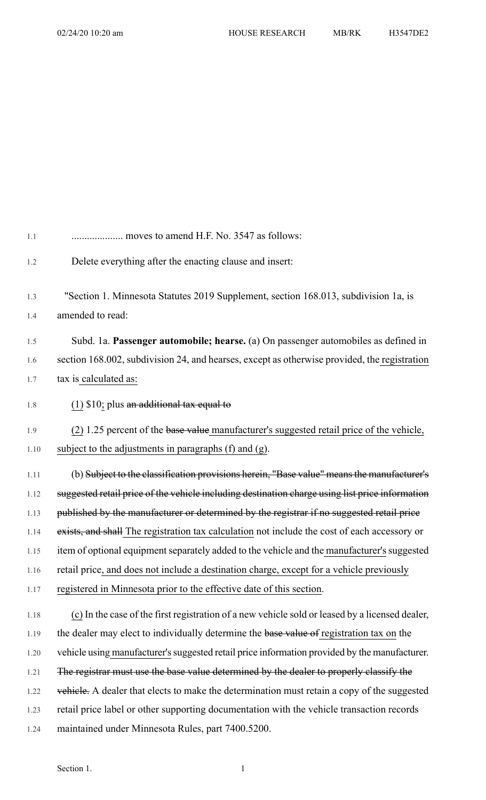| 1.1  | moves to amend H.F. No. 3547 as follows:                                                        |
|------|-------------------------------------------------------------------------------------------------|
| 1.2  | Delete everything after the enacting clause and insert:                                         |
| 1.3  | "Section 1. Minnesota Statutes 2019 Supplement, section 168.013, subdivision 1a, is             |
| 1.4  | amended to read:                                                                                |
| 1.5  | Subd. 1a. Passenger automobile; hearse. (a) On passenger automobiles as defined in              |
| 1.6  | section 168.002, subdivision 24, and hearses, except as otherwise provided, the registration    |
| 1.7  | tax is calculated as:                                                                           |
| 1.8  | $(1)$ \$10; plus an additional tax equal to                                                     |
| 1.9  | (2) 1.25 percent of the base value manufacturer's suggested retail price of the vehicle,        |
| 1.10 | subject to the adjustments in paragraphs (f) and (g).                                           |
| 1.11 | (b) Subject to the classification provisions herein, "Base value" means the manufacturer's      |
| 1.12 | suggested retail price of the vehicle including destination charge using list price information |
| 1.13 | published by the manufacturer or determined by the registrar if no suggested retail price       |
| 1.14 | exists, and shall The registration tax calculation not include the cost of each accessory or    |
| 1.15 | item of optional equipment separately added to the vehicle and the manufacturer's suggested     |
| 1.16 | retail price, and does not include a destination charge, except for a vehicle previously        |
| 1.17 | registered in Minnesota prior to the effective date of this section.                            |
| 1.18 | (c) In the case of the first registration of a new vehicle sold or leased by a licensed dealer, |
| 1.19 | the dealer may elect to individually determine the base value of registration tax on the        |
| 1.20 | vehicle using manufacturer's suggested retail price information provided by the manufacturer.   |
| 1.21 | The registrar must use the base value determined by the dealer to properly classify the         |
| 1.22 | vehicle. A dealer that elects to make the determination must retain a copy of the suggested     |
| 1.23 | retail price label or other supporting documentation with the vehicle transaction records       |
| 1.24 | maintained under Minnesota Rules, part 7400.5200.                                               |
|      |                                                                                                 |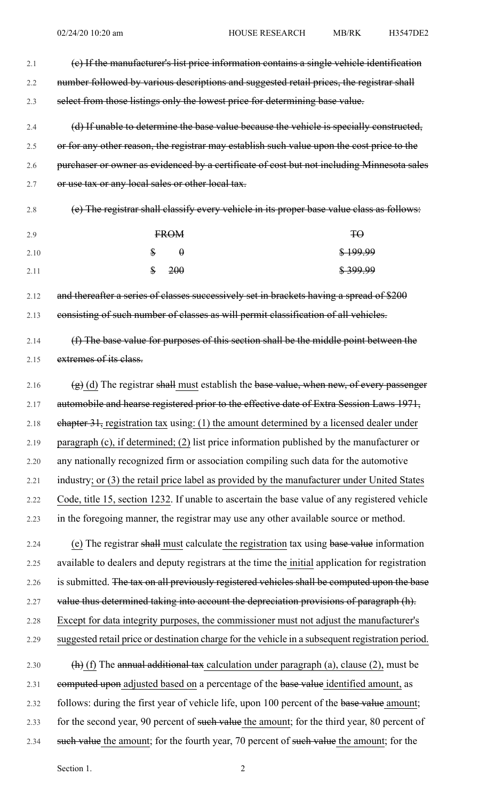| 2.1  | (e) If the manufacturer's list price information contains a single vehicle identification                     |
|------|---------------------------------------------------------------------------------------------------------------|
| 2.2  | number followed by various descriptions and suggested retail prices, the registrar shall                      |
| 2.3  | select from those listings only the lowest price for determining base value.                                  |
| 2.4  | (d) If unable to determine the base value because the vehicle is specially constructed,                       |
| 2.5  | or for any other reason, the registrar may establish such value upon the cost price to the                    |
| 2.6  | purchaser or owner as evidenced by a certificate of cost but not including Minnesota sales                    |
| 2.7  | or use tax or any local sales or other local tax.                                                             |
| 2.8  | (e) The registrar shall classify every vehicle in its proper base value class as follows:                     |
| 2.9  | FROM<br>$H\Theta$                                                                                             |
| 2.10 | $\mathbf{\$\}$<br>$\theta$<br>\$199.99                                                                        |
| 2.11 | $\mathbf{\$}$<br>200<br><del>\$399.99</del>                                                                   |
| 2.12 | and thereafter a series of classes successively set in brackets having a spread of \$200                      |
| 2.13 | consisting of such number of classes as will permit classification of all vehicles.                           |
| 2.14 | (f) The base value for purposes of this section shall be the middle point between the                         |
| 2.15 | extremes of its class.                                                                                        |
| 2.16 | $(g)$ (d) The registrar shall must establish the base value, when new, of every passenger                     |
| 2.17 | automobile and hearse registered prior to the effective date of Extra Session Laws 1971,                      |
| 2.18 | $eh$ apter 31, registration tax using: (1) the amount determined by a licensed dealer under                   |
| 2.19 | paragraph (c), if determined; (2) list price information published by the manufacturer or                     |
| 2.20 | any nationally recognized firm or association compiling such data for the automotive                          |
| 2.21 | industry; or (3) the retail price label as provided by the manufacturer under United States                   |
| 2.22 | Code, title 15, section 1232. If unable to ascertain the base value of any registered vehicle                 |
| 2.23 | in the foregoing manner, the registrar may use any other available source or method.                          |
| 2.24 | (e) The registrar shall must calculate the registration tax using base value information                      |
| 2.25 | available to dealers and deputy registrars at the time the initial application for registration               |
| 2.26 | is submitted. The tax on all previously registered vehicles shall be computed upon the base                   |
| 2.27 | value thus determined taking into account the depreciation provisions of paragraph (h).                       |
| 2.28 | Except for data integrity purposes, the commissioner must not adjust the manufacturer's                       |
| 2.29 | suggested retail price or destination charge for the vehicle in a subsequent registration period.             |
| 2.30 | $\left(\frac{h}{h}\right)$ (f) The annual additional tax calculation under paragraph (a), clause (2), must be |
| 2.31 | computed upon adjusted based on a percentage of the base value identified amount, as                          |

- 2.32 follows: during the first year of vehicle life, upon 100 percent of the base value amount; 2.33 for the second year, 90 percent of such value the amount; for the third year, 80 percent of
- 2.34 such value the amount; for the fourth year, 70 percent of such value the amount; for the